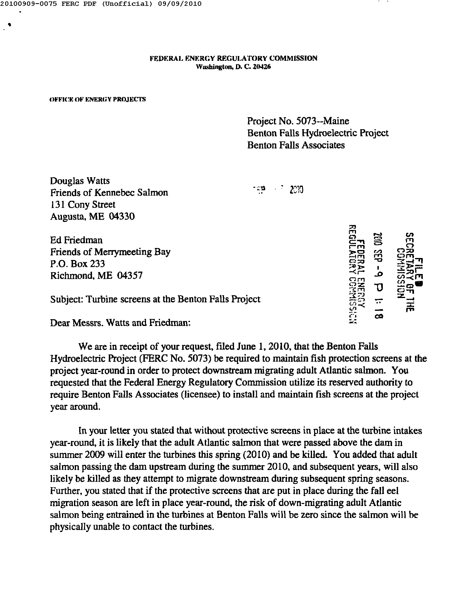•

FEDERAL ENERGY REGULATORY COMMISSION Washington, D. C. 20426

## **OFFICE OF ENERGY PROJECTS**

Project No. 5073--Maine Benton Falls Hydroelectric Project Benton Falls Associates

0וי? פ⊼י

Douglas Watts Friends of Kennebec Salmon 131 Cony Street Augusta, ME 04330

Ed Friedman Friends of Merrymeeting Bay P.O. Box 233 Richmond, ME 04357

Subject: Turbine screens at the Benton Falls Project

Dear Messrs. Watts and Friedman:

We are in receipt of your request, filed June 1, 2010, that the Benton Falls Hydroelectric Project (FERC No. 5073) be required to maintain fish protection screens at the project year-round in order to protect downstream migrating adult Atlantic salmon. You requested that the Federal Energy Regulatory Commission utilize its reserved authority to require Benton Falls Associates (licensee) to install and maintain fish screens at the project year around.

In your letter you stated that without protective screens in place at the turbine intakes year-round, it is likely that the adult Atlantic salmon that were passed above the dam in summer 2009 will enter the turbines this spring (2010) and be killed. You added that adult salmon passing the dam upstream during the summer 2010, and subsequent years, will also likely be killed as they attempt to migrate downstream during subsequent spring seasons. Further, you stated that if the protective screens that are put in place during the fall eel migration season are left in place year-round, the risk of down-migrating adult Atlantic salmon being entrained in the turbines at Benton Falls will be zero since the salmon will be physically unable to contact the turbines.

22  $\mathbf \Gamma$ *C* .... en en en  $\Xi$ 7  $\Xi$  $\mathbf \Pi$ en e ni<br>En e ni <u>ንና</u>  $\frac{1}{2}$   $\frac{1}{2}$ **0:::0** rena<br>Gerald<br>Frysk - Sieks -<,.- ..0 =;;or  $\overline{\text{C}}$ <u>iri ə Ö</u>ZL **I."'JZ**  $\frac{1}{25}$  +  $\frac{1}{25}$   $\frac{1}{25}$   $\frac{1}{25}$   $\frac{1}{25}$   $\frac{1}{25}$   $\frac{1}{25}$   $\frac{1}{25}$   $\frac{1}{25}$   $\frac{1}{25}$   $\frac{1}{25}$   $\frac{1}{25}$   $\frac{1}{25}$   $\frac{1}{25}$   $\frac{1}{25}$   $\frac{1}{25}$   $\frac{1}{25}$   $\frac{1}{25}$   $\frac{1}{25}$   $\frac{1}{25}$ <u>ក្នុ</u> *~:"J* ፓ<br>። **--::::;->** z.... *U)-<* .. ~ "<br>" <u>با</u> **CJ** co **:.:::**

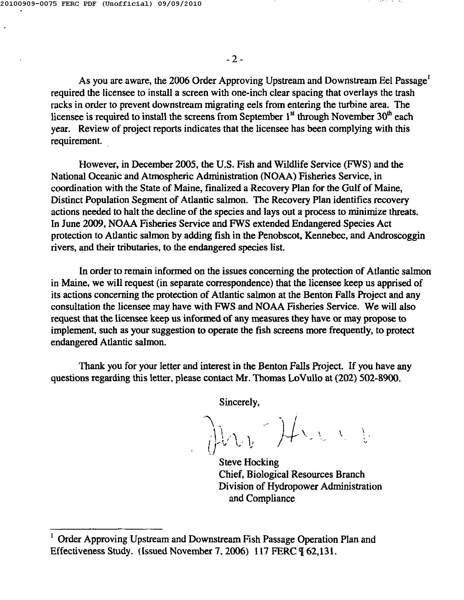As you are aware, the 2006 Order Approving Upstream and Downstream Eel Passage' required the licensee to install a screen with one-inch clear spacing that overlays the trash racks in order to prevent downstream migrating eels from entering the turbine area. The licensee is required to install the screens from September  $1<sup>st</sup>$  through November  $30<sup>th</sup>$  each year. Review of project reports indicates that the licensee has been complying with this requirement.

However, in December 2005, the U.S. Fish and Wildlife Service (FWS) and the National Oceanic and Atmospheric Administration (NOAA) Fisheries Service, in coordination with the State of Maine, finalized a Recovery Plan for the Gulf of Maine, Distinct Population Segment of Atlantic salmon. The Recovery Plan identifies recovery actions needed to halt the decline of the species and lays out a process to minimize threats. In June 2009, NOAA Fisheries Service and FWS extended Endangered Species Act protection to Atlantic salmon by adding fish in the Penobscot, Kennebec, and Androscoggin rivers, and their tributaries, to the endangered species list.

In order to remain informed on the issues concerning the protection of Atlantic salmon in Maine, we will request (in separate correspondence) that the licensee keep us apprised of its actions concerning the protection of Atlantic salmon at the Benton Falls Project and any consultation the licensee may have with FWS and NOAA Fisheries Service. We will also request that the licensee keep us informed of any measures they have or may propose to implement, such as your suggestion to operate the fish screens more frequently, to protect endangered Atlantic salmon.

Thank you for your letter and interest in the Benton Falls Project. If you have any questions regarding this letter, please contact Mr. Thomas LoVullo at (202) 502-8900.

Sincerely,

 $\bigwedge$  $\bigcup_{i=1}^n \bigcap_{i=1}^n \bigcap_{i=1}^n \bigcap_{i=1}^n \bigcap_{i=1}^n \bigcap_{i=1}^n \bigcap_{i=1}^n \bigcap_{i=1}^n \bigcap_{i=1}^n \bigcap_{i=1}^n \bigcap_{i=1}^n \bigcap_{i=1}^n \bigcap_{i=1}^n \bigcap_{i=1}^n \bigcap_{i=1}^n \bigcap_{i=1}^n \bigcap_{i=1}^n \bigcap_{i=1}^n \bigcap_{i=1}^n \bigcap_{i=1}^n \bigcap_{i=1}^n \bigcap_{i=1}^n$ *; <sup>J</sup>'''''''' <sup>~</sup> ..* **I'** t, '"  $\lambda$ 

Steve Hocking Chief, Biological Resources Branch Division of Hydropower Administration and Compliance

 $<sup>1</sup>$  Order Approving Upstream and Downstream Fish Passage Operation Plan and</sup> Effectiveness Study. (Issued November 7, 2006) 117 FERC  $\P$  62,131.